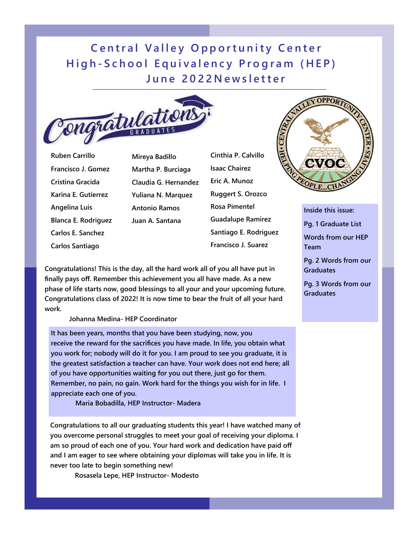## **Central Valley Opportunity Center High-School Equivalency Program (HEP) June 2022Newsletter**



**Ruben Carrillo Francisco J. Gomez Cristina Gracida Karina E. Gutierrez Angelina Luis Blanca E. Rodriguez Carlos E. Sanchez Carlos Santiago** 

**Mireya Badillo Martha P. Burciaga Claudia G. Hernandez Yuliana N. Marquez Antonio Ramos Juan A. Santana** 

**Cinthia P. Calvillo Isaac Chairez Eric A. Munoz Ruggert S. Orozco Rosa Pimentel Guadalupe Ramirez Santiago E. Rodriguez Francisco J. Suarez** 



 **Johanna Medina- HEP Coordinator** 

**It has been years, months that you have been studying, now, you receive the reward for the sacrifices you have made. In life, you obtain what you work for; nobody will do it for you. I am proud to see you graduate, it is the greatest satisfaction a teacher can have. Your work does not end here; all of you have opportunities waiting for you out there, just go for them. Remember, no pain, no gain. Work hard for the things you wish for in life. I appreciate each one of you.** 

 **Maria Bobadilla, HEP Instructor- Madera** 

**Congratulations to all our graduating students this year! I have watched many of you overcome personal struggles to meet your goal of receiving your diploma. I am so proud of each one of you. Your hard work and dedication have paid off and I am eager to see where obtaining your diplomas will take you in life. It is never too late to begin something new!** 

 **Rosasela Lepe, HEP Instructor- Modesto** 



**Inside this issue: Pg. 1 Graduate List** 

**Words from our HEP Team** 

**Pg. 2 Words from our Graduates** 

**Pg. 3 Words from our Graduates**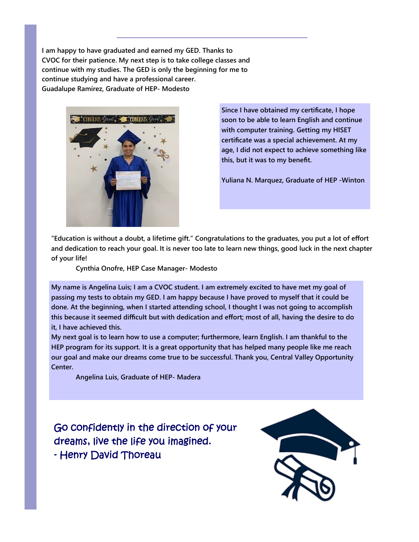**I am happy to have graduated and earned my GED. Thanks to CVOC for their patience. My next step is to take college classes and continue with my studies. The GED is only the beginning for me to continue studying and have a professional career. Guadalupe Ramírez, Graduate of HEP- Modesto** 



**Since I have obtained my certificate, I hope soon to be able to learn English and continue with computer training. Getting my HISET certificate was a special achievement. At my age, I did not expect to achieve something like this, but it was to my benefit.** 

**Yuliana N. Marquez, Graduate of HEP -Winton** 

**"Education is without a doubt, a lifetime gift." Congratulations to the graduates, you put a lot of effort and dedication to reach your goal. It is never too late to learn new things, good luck in the next chapter of your life!** 

 **Cynthia Onofre, HEP Case Manager- Modesto** 

**My name is Angelina Luis; I am a CVOC student. I am extremely excited to have met my goal of passing my tests to obtain my GED. I am happy because I have proved to myself that it could be done. At the beginning, when I started attending school, I thought I was not going to accomplish this because it seemed difficult but with dedication and effort; most of all, having the desire to do it, I have achieved this.** 

**My next goal is to learn how to use a computer; furthermore, learn English. I am thankful to the HEP program for its support. It is a great opportunity that has helped many people like me reach our goal and make our dreams come true to be successful. Thank you, Central Valley Opportunity Center.** 

 **Angelina Luis, Graduate of HEP- Madera** 

Go confidently in the direction of your dreams, live the life you imagined. - Henry David Thoreau

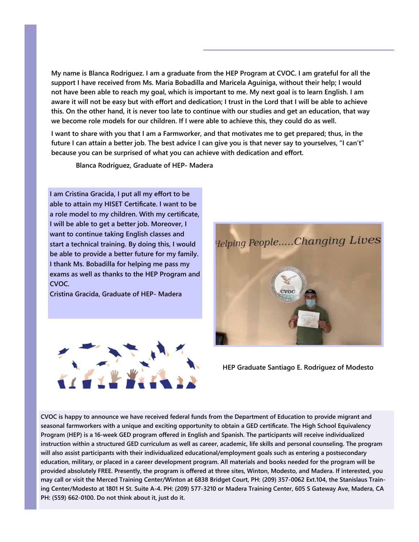**My name is Blanca Rodriguez. I am a graduate from the HEP Program at CVOC. I am grateful for all the support I have received from Ms. Maria Bobadilla and Maricela Aguiniga, without their help; I would not have been able to reach my goal, which is important to me. My next goal is to learn English. I am aware it will not be easy but with effort and dedication; I trust in the Lord that I will be able to achieve this. On the other hand, it is never too late to continue with our studies and get an education, that way we become role models for our children. If I were able to achieve this, they could do as well.** 

**I want to share with you that I am a Farmworker, and that motivates me to get prepared; thus, in the future I can attain a better job. The best advice I can give you is that never say to yourselves, "I can't" because you can be surprised of what you can achieve with dedication and effort.** 

 **Blanca Rodríguez, Graduate of HEP- Madera** 

**I am Cristina Gracida, I put all my effort to be able to attain my HISET Certificate. I want to be a role model to my children. With my certificate, I will be able to get a better job. Moreover, I want to continue taking English classes and start a technical training. By doing this, I would be able to provide a better future for my family. I thank Ms. Bobadilla for helping me pass my exams as well as thanks to the HEP Program and CVOC.** 

**Cristina Gracida, Graduate of HEP- Madera** 





**HEP Graduate Santiago E. Rodriguez of Modesto** 

**CVOC is happy to announce we have received federal funds from the Department of Education to provide migrant and seasonal farmworkers with a unique and exciting opportunity to obtain a GED certificate. The High School Equivalency Program (HEP) is a 16-week GED program offered in English and Spanish. The participants will receive individualized instruction within a structured GED curriculum as well as career, academic, life skills and personal counseling. The program will also assist participants with their individualized educational/employment goals such as entering a postsecondary education, military, or placed in a career development program. All materials and books needed for the program will be provided absolutely FREE. Presently, the program is offered at three sites, Winton, Modesto, and Madera. If interested, you may call or visit the Merced Training Center/Winton at 6838 Bridget Court, PH: (209) 357-0062 Ext.104, the Stanislaus Training Center/Modesto at 1801 H St. Suite A-4. PH: (209) 577-3210 or Madera Training Center, 605 S Gateway Ave, Madera, CA PH: (559) 662-0100. Do not think about it, just do it.**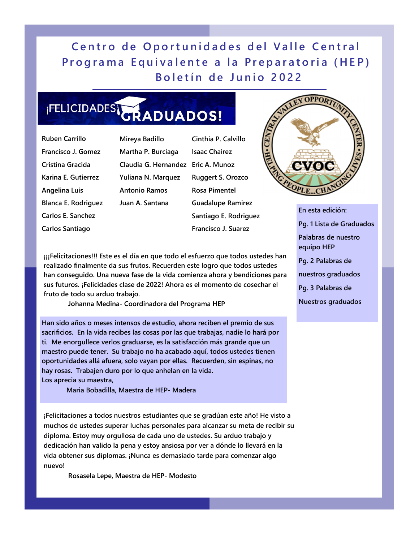**Centro de Oportunidades del Valle Central Programa Equivalente a la Preparatoria (HEP) Boletín de Junio 2022** 

## **IFELICIDADES GRADUADOS!**

**Ruben Carrillo Francisco J. Gomez Cristina Gracida Karina E. Gutierrez Angelina Luis Blanca E. Rodriguez Carlos E. Sanchez Carlos Santiago** 

**Mireya Badillo Martha P. Burciaga Claudia G. Hernandez Eric A. Munoz Yuliana N. Marquez Antonio Ramos Juan A. Santana** 

**Cinthia P. Calvillo Isaac Chairez Ruggert S. Orozco Rosa Pimentel Guadalupe Ramirez Santiago E. Rodriguez Francisco J. Suarez** 



**En esta edición: Pg. 1 Lista de Graduados Palabras de nuestro equipo HEP Pg. 2 Palabras de nuestros graduados Pg. 3 Palabras de Nuestros graduados** 

 $j$ ii<sup>Felicitaciones!!! Este es el día en que todo el esfuerzo que todos ustedes han</sup> **realizado finalmente da sus frutos. Recuerden este logro que todos ustedes han conseguido. Una nueva fase de la vida comienza ahora y bendiciones para sus futuros. ¡Felicidades clase de 2022! Ahora es el momento de cosechar el fruto de todo su arduo trabajo.** 

 **Johanna Medina- Coordinadora del Programa HEP** 

**Han sido años o meses intensos de estudio, ahora reciben el premio de sus sacrificios. En la vida recibes las cosas por las que trabajas, nadie lo hará por ti. Me enorgullece verlos graduarse, es la satisfacción más grande que un maestro puede tener. Su trabajo no ha acabado aquí, todos ustedes tienen oportunidades allá afuera, solo vayan por ellas. Recuerden, sin espinas, no hay rosas. Trabajen duro por lo que anhelan en la vida. Los aprecia su maestra,** 

 **Maria Bobadilla, Maestra de HEP- Madera** 

**¡Felicitaciones a todos nuestros estudiantes que se gradúan este año! He visto a muchos de ustedes superar luchas personales para alcanzar su meta de recibir su diploma. Estoy muy orgullosa de cada uno de ustedes. Su arduo trabajo y dedicación han valido la pena y estoy ansiosa por ver a dónde lo llevará en la vida obtener sus diplomas. ¡Nunca es demasiado tarde para comenzar algo nuevo!** 

 **Rosasela Lepe, Maestra de HEP- Modesto**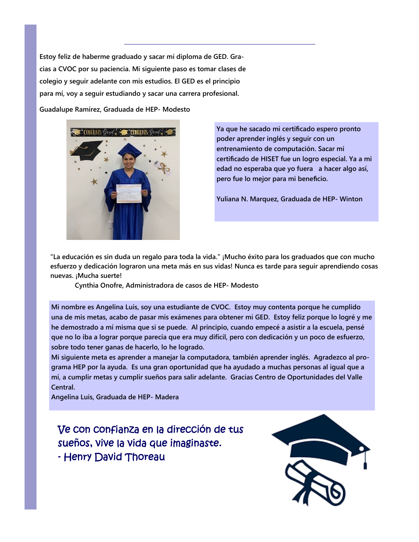**Estoy feliz de haberme graduado y sacar mi diploma de GED. Gracias a CVOC por su paciencia. Mi siguiente paso es tomar clases de colegio y seguir adelante con mis estudios. El GED es el principio para mí, voy a seguir estudiando y sacar una carrera profesional.** 

**Guadalupe Ramírez, Graduada de HEP- Modesto** 



**Ya que he sacado mi certificado espero pronto poder aprender inglés y seguir con un entrenamiento de computación. Sacar mi certificado de HISET fue un logro especial. Ya a mi edad no esperaba que yo fuera a hacer algo así, pero fue lo mejor para mi beneficio.** 

**Yuliana N. Marquez, Graduada de HEP- Winton** 

**"La educación es sin duda un regalo para toda la vida." ¡Mucho éxito para los graduados que con mucho esfuerzo y dedicación lograron una meta más en sus vidas! Nunca es tarde para seguir aprendiendo cosas nuevas. ¡Mucha suerte!** 

 **Cynthia Onofre, Administradora de casos de HEP- Modesto** 

**Mi nombre es Angelina Luis, soy una estudiante de CVOC. Estoy muy contenta porque he cumplido una de mis metas, acabo de pasar mis exámenes para obtener mi GED. Estoy feliz porque lo logré y me he demostrado a mí misma que si se puede. Al principio, cuando empecé a asistir a la escuela, pensé que no lo iba a lograr porque parecía que era muy difícil, pero con dedicación y un poco de esfuerzo, sobre todo tener ganas de hacerlo, lo he logrado.** 

**Mi siguiente meta es aprender a manejar la computadora, también aprender inglés. Agradezco al programa HEP por la ayuda. Es una gran oportunidad que ha ayudado a muchas personas al igual que a mí, a cumplir metas y cumplir sueños para salir adelante. Gracias Centro de Oportunidades del Valle Central.** 

**Angelina Luis, Graduada de HEP- Madera** 

Ve con confianza en la dirección de tus sueños, vive la vida que imaginaste. - Henry David Thoreau